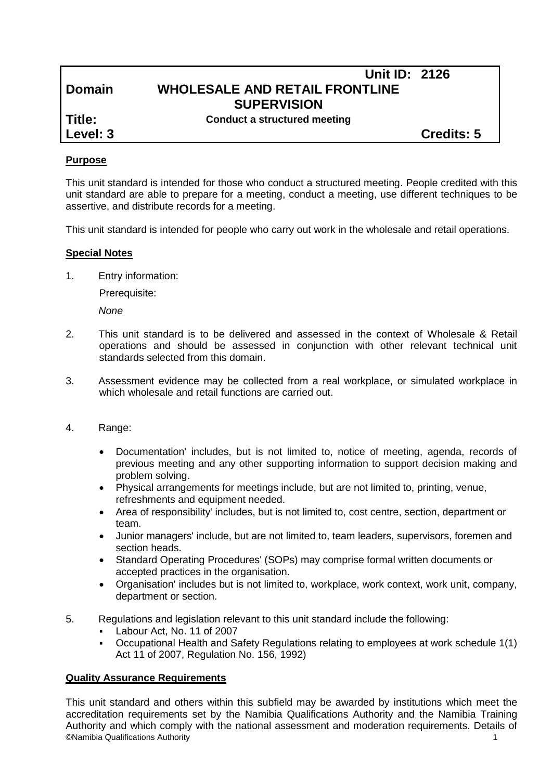# **Unit ID: 2126 Domain WHOLESALE AND RETAIL FRONTLINE SUPERVISION**

**Title: Conduct a structured meeting**

**Level: 3 Credits: 5**

### **Purpose**

This unit standard is intended for those who conduct a structured meeting. People credited with this unit standard are able to prepare for a meeting, conduct a meeting, use different techniques to be assertive, and distribute records for a meeting.

This unit standard is intended for people who carry out work in the wholesale and retail operations.

### **Special Notes**

1. Entry information:

Prerequisite:

*None*

- 2. This unit standard is to be delivered and assessed in the context of Wholesale & Retail operations and should be assessed in conjunction with other relevant technical unit standards selected from this domain.
- 3. Assessment evidence may be collected from a real workplace, or simulated workplace in which wholesale and retail functions are carried out.
- 4. Range:
	- Documentation' includes, but is not limited to, notice of meeting, agenda, records of previous meeting and any other supporting information to support decision making and problem solving.
	- Physical arrangements for meetings include, but are not limited to, printing, venue, refreshments and equipment needed.
	- Area of responsibility' includes, but is not limited to, cost centre, section, department or team.
	- Junior managers' include, but are not limited to, team leaders, supervisors, foremen and section heads.
	- Standard Operating Procedures' (SOPs) may comprise formal written documents or accepted practices in the organisation.
	- Organisation' includes but is not limited to, workplace, work context, work unit, company, department or section.
- 5. Regulations and legislation relevant to this unit standard include the following:
	- Labour Act, No. 11 of 2007
	- Occupational Health and Safety Regulations relating to employees at work schedule 1(1) Act 11 of 2007, Regulation No. 156, 1992)

#### **Quality Assurance Requirements**

©Namibia Qualifications Authority 1 This unit standard and others within this subfield may be awarded by institutions which meet the accreditation requirements set by the Namibia Qualifications Authority and the Namibia Training Authority and which comply with the national assessment and moderation requirements. Details of